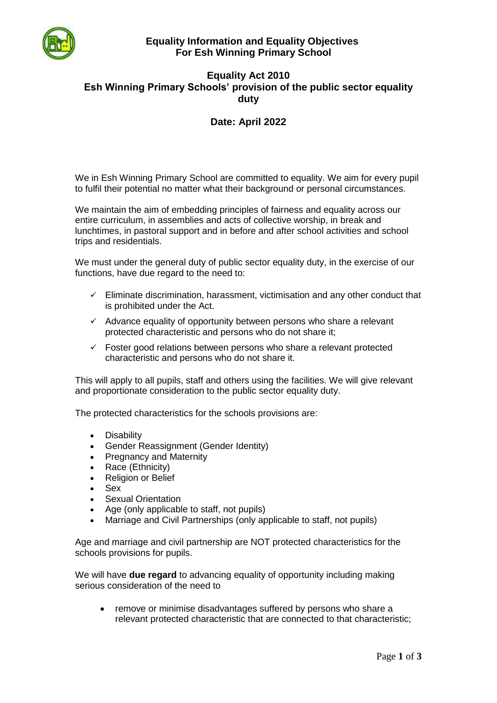

## **Equality Information and Equality Objectives For Esh Winning Primary School**

## **Equality Act 2010 Esh Winning Primary Schools' provision of the public sector equality duty**

# **Date: April 2022**

We in Esh Winning Primary School are committed to equality. We aim for every pupil to fulfil their potential no matter what their background or personal circumstances.

We maintain the aim of embedding principles of fairness and equality across our entire curriculum, in assemblies and acts of collective worship, in break and lunchtimes, in pastoral support and in before and after school activities and school trips and residentials.

We must under the general duty of public sector equality duty, in the exercise of our functions, have due regard to the need to:

- $\checkmark$  Eliminate discrimination, harassment, victimisation and any other conduct that is prohibited under the Act.
- $\checkmark$  Advance equality of opportunity between persons who share a relevant protected characteristic and persons who do not share it;
- $\checkmark$  Foster good relations between persons who share a relevant protected characteristic and persons who do not share it.

This will apply to all pupils, staff and others using the facilities. We will give relevant and proportionate consideration to the public sector equality duty.

The protected characteristics for the schools provisions are:

- Disability
- Gender Reassignment (Gender Identity)
- Pregnancy and Maternity
- Race (Ethnicity)
- Religion or Belief
- Sex
- Sexual Orientation
- Age (only applicable to staff, not pupils)
- Marriage and Civil Partnerships (only applicable to staff, not pupils)

Age and marriage and civil partnership are NOT protected characteristics for the schools provisions for pupils.

We will have **due regard** to advancing equality of opportunity including making serious consideration of the need to

• remove or minimise disadvantages suffered by persons who share a relevant protected characteristic that are connected to that characteristic;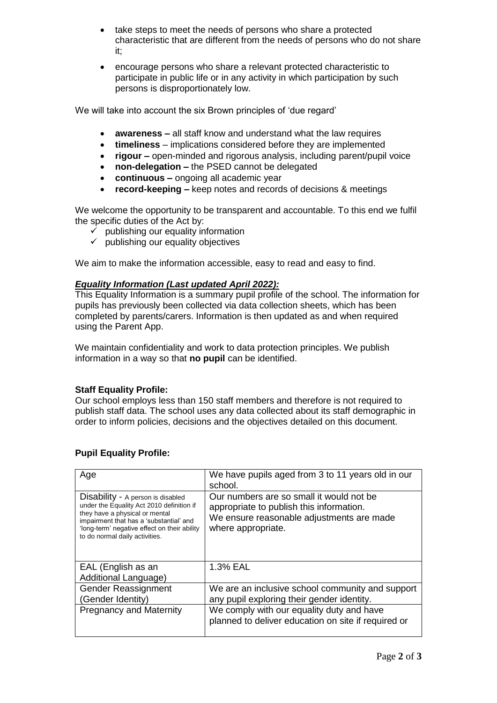- take steps to meet the needs of persons who share a protected characteristic that are different from the needs of persons who do not share it;
- encourage persons who share a relevant protected characteristic to participate in public life or in any activity in which participation by such persons is disproportionately low.

We will take into account the six Brown principles of 'due regard'

- **awareness –** all staff know and understand what the law requires
- **timeliness**  implications considered before they are implemented
- **rigour –** open-minded and rigorous analysis, including parent/pupil voice
- **non-delegation –** the PSED cannot be delegated
- **continuous –** ongoing all academic year
- **record-keeping –** keep notes and records of decisions & meetings

We welcome the opportunity to be transparent and accountable. To this end we fulfil the specific duties of the Act by:

- $\checkmark$  publishing our equality information
- $\checkmark$  publishing our equality objectives

We aim to make the information accessible, easy to read and easy to find.

### *Equality Information (Last updated April 2022):*

This Equality Information is a summary pupil profile of the school. The information for pupils has previously been collected via data collection sheets, which has been completed by parents/carers. Information is then updated as and when required using the Parent App.

We maintain confidentiality and work to data protection principles. We publish information in a way so that **no pupil** can be identified.

### **Staff Equality Profile:**

Our school employs less than 150 staff members and therefore is not required to publish staff data. The school uses any data collected about its staff demographic in order to inform policies, decisions and the objectives detailed on this document.

| Age                                                                                                                                                                                                                                           | We have pupils aged from 3 to 11 years old in our<br>school.                                                                                            |
|-----------------------------------------------------------------------------------------------------------------------------------------------------------------------------------------------------------------------------------------------|---------------------------------------------------------------------------------------------------------------------------------------------------------|
| Disability - A person is disabled<br>under the Equality Act 2010 definition if<br>they have a physical or mental<br>impairment that has a 'substantial' and<br>'long-term' negative effect on their ability<br>to do normal daily activities. | Our numbers are so small it would not be<br>appropriate to publish this information.<br>We ensure reasonable adjustments are made<br>where appropriate. |
| EAL (English as an<br>Additional Language)                                                                                                                                                                                                    | 1.3% EAL                                                                                                                                                |
| Gender Reassignment<br>(Gender Identity)                                                                                                                                                                                                      | We are an inclusive school community and support<br>any pupil exploring their gender identity.                                                          |
| <b>Pregnancy and Maternity</b>                                                                                                                                                                                                                | We comply with our equality duty and have<br>planned to deliver education on site if required or                                                        |

### **Pupil Equality Profile:**